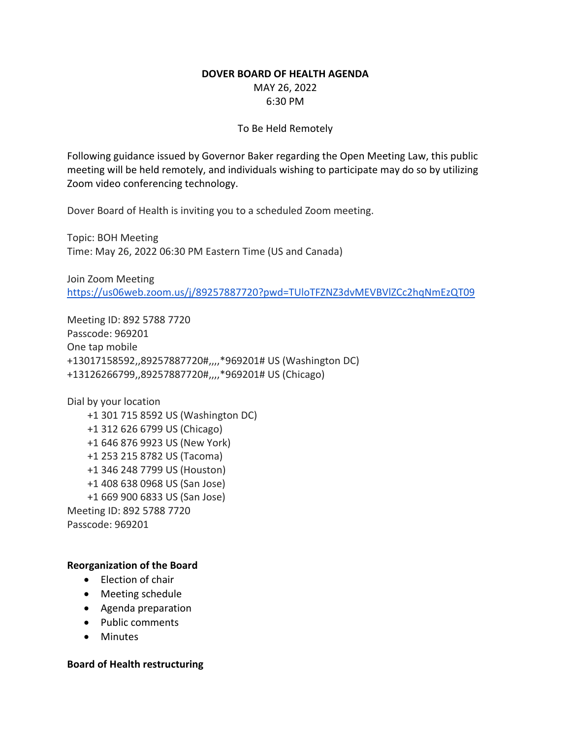# **DOVER BOARD OF HEALTH AGENDA**

MAY 26, 2022 6:30 PM

# To Be Held Remotely

Following guidance issued by Governor Baker regarding the Open Meeting Law, this public meeting will be held remotely, and individuals wishing to participate may do so by utilizing Zoom video conferencing technology.

Dover Board of Health is inviting you to a scheduled Zoom meeting.

Topic: BOH Meeting Time: May 26, 2022 06:30 PM Eastern Time (US and Canada)

Join Zoom Meeting <https://us06web.zoom.us/j/89257887720?pwd=TUloTFZNZ3dvMEVBVlZCc2hqNmEzQT09>

Meeting ID: 892 5788 7720 Passcode: 969201 One tap mobile +13017158592,,89257887720#,,,,\*969201# US (Washington DC) +13126266799,,89257887720#,,,,\*969201# US (Chicago)

Dial by your location +1 301 715 8592 US (Washington DC) +1 312 626 6799 US (Chicago) +1 646 876 9923 US (New York) +1 253 215 8782 US (Tacoma) +1 346 248 7799 US (Houston) +1 408 638 0968 US (San Jose) +1 669 900 6833 US (San Jose) Meeting ID: 892 5788 7720 Passcode: 969201

# **Reorganization of the Board**

- Election of chair
- Meeting schedule
- Agenda preparation
- Public comments
- Minutes

### **Board of Health restructuring**